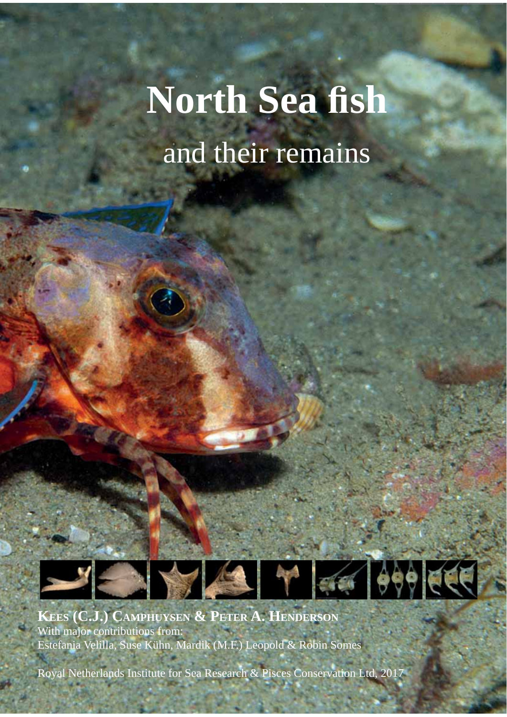# **North Sea fish** and their remains

**KEES (C.J.) CAMPHUYSEN & PETER A. HENDERSON** With major contributions from: Estefania Velilla, Suse Kühn, Mardik (M.F.) Leopold & Robin Somes

**Company** 

Royal Netherlands Institute for Sea Research & Pisces Conservation Ltd, 2017

THE METHODS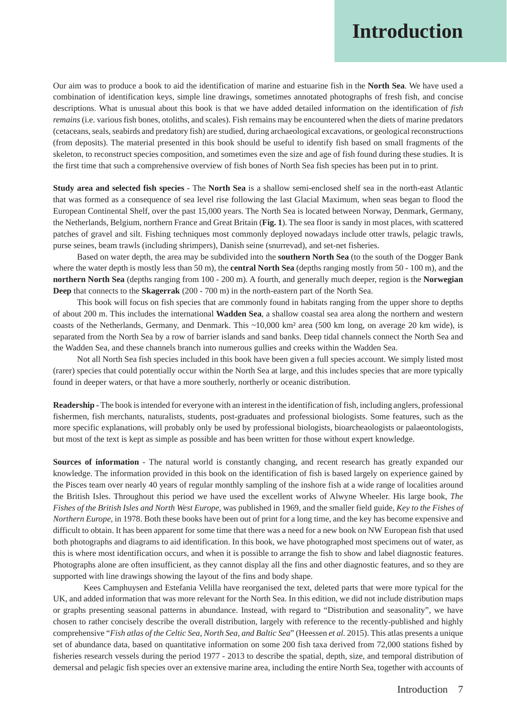## **Introduction**

Our aim was to produce a book to aid the identification of marine and estuarine fish in the **North Sea**. We have used a combination of identification keys, simple line drawings, sometimes annotated photographs of fresh fish, and concise descriptions. What is unusual about this book is that we have added detailed information on the identification of *fish remains* (i.e. various fish bones, otoliths, and scales). Fish remains may be encountered when the diets of marine predators (cetaceans, seals, seabirds and predatory fish) are studied, during archaeological excavations, or geological reconstructions (from deposits). The material presented in this book should be useful to identify fish based on small fragments of the skeleton, to reconstruct species composition, and sometimes even the size and age of fish found during these studies. It is the first time that such a comprehensive overview of fish bones of North Sea fish species has been put in to print.

**Study area and selected fish species** - The **North Sea** is a shallow semi-enclosed shelf sea in the north-east Atlantic that was formed as a consequence of sea level rise following the last Glacial Maximum, when seas began to flood the European Continental Shelf, over the past 15,000 years. The North Sea is located between Norway, Denmark, Germany, the Netherlands, Belgium, northern France and Great Britain (**Fig. 1**). The sea floor is sandy in most places, with scattered patches of gravel and silt. Fishing techniques most commonly deployed nowadays include otter trawls, pelagic trawls, purse seines, beam trawls (including shrimpers), Danish seine (snurrevad), and set-net fisheries.

Based on water depth, the area may be subdivided into the **southern North Sea** (to the south of the Dogger Bank where the water depth is mostly less than 50 m), the **central North Sea** (depths ranging mostly from 50 - 100 m), and the **northern North Sea** (depths ranging from 100 - 200 m). A fourth, and generally much deeper, region is the **Norwegian Deep** that connects to the **Skagerrak** (200 - 700 m) in the north-eastern part of the North Sea.

This book will focus on fish species that are commonly found in habitats ranging from the upper shore to depths of about 200 m. This includes the international **Wadden Sea**, a shallow coastal sea area along the northern and western coasts of the Netherlands, Germany, and Denmark. This ~10,000 km² area (500 km long, on average 20 km wide), is separated from the North Sea by a row of barrier islands and sand banks. Deep tidal channels connect the North Sea and the Wadden Sea, and these channels branch into numerous gullies and creeks within the Wadden Sea.

Not all North Sea fish species included in this book have been given a full species account. We simply listed most (rarer) species that could potentially occur within the North Sea at large, and this includes species that are more typically found in deeper waters, or that have a more southerly, northerly or oceanic distribution.

**Readership -** The book is intended for everyone with an interest in the identification of fish, including anglers, professional fishermen, fish merchants, naturalists, students, post-graduates and professional biologists. Some features, such as the more specific explanations, will probably only be used by professional biologists, bioarcheaologists or palaeontologists, but most of the text is kept as simple as possible and has been written for those without expert knowledge.

**Sources of information** - The natural world is constantly changing, and recent research has greatly expanded our knowledge. The information provided in this book on the identification of fish is based largely on experience gained by the Pisces team over nearly 40 years of regular monthly sampling of the inshore fish at a wide range of localities around the British Isles. Throughout this period we have used the excellent works of Alwyne Wheeler. His large book, *The Fishes of the British Isles and North West Europe*, was published in 1969, and the smaller field guide, *Key to the Fishes of Northern Europe*, in 1978. Both these books have been out of print for a long time, and the key has become expensive and difficult to obtain. It has been apparent for some time that there was a need for a new book on NW European fish that used both photographs and diagrams to aid identification. In this book, we have photographed most specimens out of water, as this is where most identification occurs, and when it is possible to arrange the fish to show and label diagnostic features. Photographs alone are often insufficient, as they cannot display all the fins and other diagnostic features, and so they are supported with line drawings showing the layout of the fins and body shape.

 Kees Camphuysen and Estefania Velilla have reorganised the text, deleted parts that were more typical for the UK, and added information that was more relevant for the North Sea. In this edition, we did not include distribution maps or graphs presenting seasonal patterns in abundance. Instead, with regard to "Distribution and seasonality", we have chosen to rather concisely describe the overall distribution, largely with reference to the recently-published and highly comprehensive "*Fish atlas of the Celtic Sea, North Sea, and Baltic Sea*" (Heessen *et al.* 2015). This atlas presents a unique set of abundance data, based on quantitative information on some 200 fish taxa derived from 72,000 stations fished by fisheries research vessels during the period 1977 - 2013 to describe the spatial, depth, size, and temporal distribution of demersal and pelagic fish species over an extensive marine area, including the entire North Sea, together with accounts of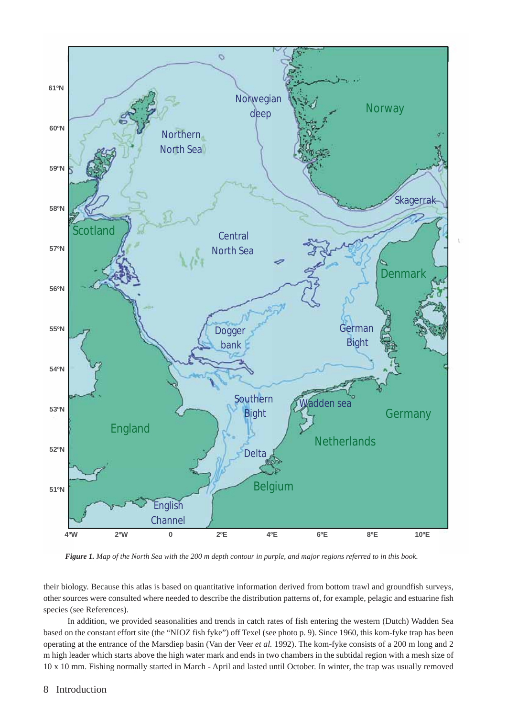

*Figure 1. Map of the North Sea with the 200 m depth contour in purple, and major regions referred to in this book.*

their biology. Because this atlas is based on quantitative information derived from bottom trawl and groundfish surveys, other sources were consulted where needed to describe the distribution patterns of, for example, pelagic and estuarine fish species (see References).

In addition, we provided seasonalities and trends in catch rates of fish entering the western (Dutch) Wadden Sea based on the constant effort site (the "NIOZ fish fyke") off Texel (see photo p. 9). Since 1960, this kom-fyke trap has been operating at the entrance of the Marsdiep basin (Van der Veer *et al.* 1992). The kom-fyke consists of a 200 m long and 2 m high leader which starts above the high water mark and ends in two chambers in the subtidal region with a mesh size of 10 x 10 mm. Fishing normally started in March - April and lasted until October. In winter, the trap was usually removed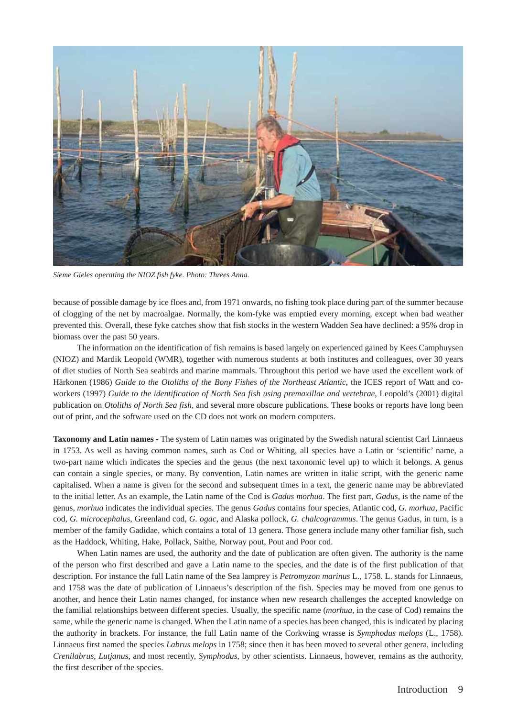

*Sieme Gieles operating the NIOZ fish fyke. Photo: Threes Anna.*

because of possible damage by ice floes and, from 1971 onwards, no fishing took place during part of the summer because of clogging of the net by macroalgae. Normally, the kom-fyke was emptied every morning, except when bad weather prevented this. Overall, these fyke catches show that fish stocks in the western Wadden Sea have declined: a 95% drop in biomass over the past 50 years.

The information on the identification of fish remains is based largely on experienced gained by Kees Camphuysen (NIOZ) and Mardik Leopold (WMR), together with numerous students at both institutes and colleagues, over 30 years of diet studies of North Sea seabirds and marine mammals. Throughout this period we have used the excellent work of Härkonen (1986) *Guide to the Otoliths of the Bony Fishes of the Northeast Atlantic*, the ICES report of Watt and coworkers (1997) *Guide to the identification of North Sea fish using premaxillae and vertebrae*, Leopold's (2001) digital publication on *Otoliths of North Sea fish,* and several more obscure publications. These books or reports have long been out of print, and the software used on the CD does not work on modern computers.

**Taxonomy and Latin names -** The system of Latin names was originated by the Swedish natural scientist Carl Linnaeus in 1753. As well as having common names, such as Cod or Whiting, all species have a Latin or 'scientific' name, a two-part name which indicates the species and the genus (the next taxonomic level up) to which it belongs. A genus can contain a single species, or many. By convention, Latin names are written in italic script, with the generic name capitalised. When a name is given for the second and subsequent times in a text, the generic name may be abbreviated to the initial letter. As an example, the Latin name of the Cod is *Gadus morhua*. The first part, *Gadus*, is the name of the genus, *morhua* indicates the individual species. The genus *Gadus* contains four species, Atlantic cod, *G. morhua*, Pacific cod, *G. microcephalus*, Greenland cod, *G. ogac*, and Alaska pollock, *G. chalcogrammus*. The genus Gadus, in turn, is a member of the family Gadidae, which contains a total of 13 genera. Those genera include many other familiar fish, such as the Haddock, Whiting, Hake, Pollack, Saithe, Norway pout, Pout and Poor cod.

When Latin names are used, the authority and the date of publication are often given. The authority is the name of the person who first described and gave a Latin name to the species, and the date is of the first publication of that description. For instance the full Latin name of the Sea lamprey is *Petromyzon marinus* L., 1758. L. stands for Linnaeus, and 1758 was the date of publication of Linnaeus's description of the fish. Species may be moved from one genus to another, and hence their Latin names changed, for instance when new research challenges the accepted knowledge on the familial relationships between different species. Usually, the specific name (*morhua*, in the case of Cod) remains the same, while the generic name is changed. When the Latin name of a species has been changed, this is indicated by placing the authority in brackets. For instance, the full Latin name of the Corkwing wrasse is *Symphodus melops* (L., 1758). Linnaeus first named the species *Labrus melops* in 1758; since then it has been moved to several other genera, including *Crenilabrus*, *Lutjanus*, and most recently, *Symphodus*, by other scientists. Linnaeus, however, remains as the authority, the first describer of the species.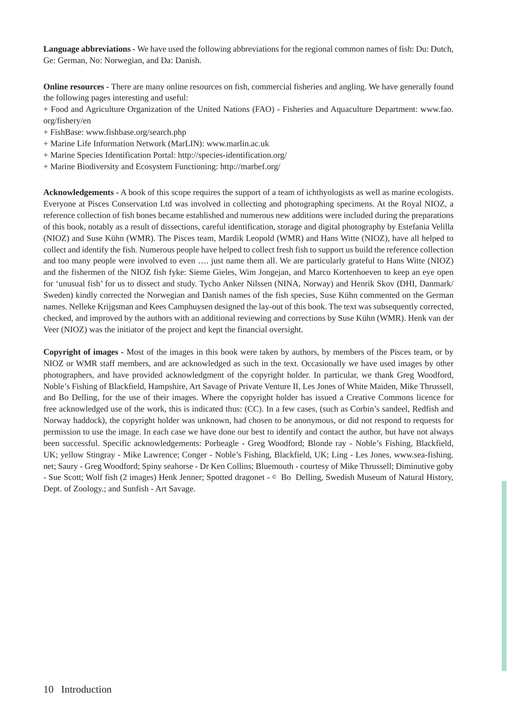**Language abbreviations -** We have used the following abbreviations for the regional common names of fish: Du: Dutch, Ge: German, No: Norwegian, and Da: Danish.

**Online resources -** There are many online resources on fish, commercial fisheries and angling. We have generally found the following pages interesting and useful:

+ Food and Agriculture Organization of the United Nations (FAO) - Fisheries and Aquaculture Department: www.fao. org/fishery/en

- + FishBase: www.fishbase.org/search.php
- + Marine Life Information Network (MarLIN): www.marlin.ac.uk
- + Marine Species Identification Portal: http://species-identification.org/
- + Marine Biodiversity and Ecosystem Functioning: http://marbef.org/

**Acknowledgements -** A book of this scope requires the support of a team of ichthyologists as well as marine ecologists. Everyone at Pisces Conservation Ltd was involved in collecting and photographing specimens. At the Royal NIOZ, a reference collection of fish bones became established and numerous new additions were included during the preparations of this book, notably as a result of dissections, careful identification, storage and digital photography by Estefania Velilla (NIOZ) and Suse Kühn (WMR). The Pisces team, Mardik Leopold (WMR) and Hans Witte (NIOZ), have all helped to collect and identify the fish. Numerous people have helped to collect fresh fish to support us build the reference collection and too many people were involved to even …. just name them all. We are particularly grateful to Hans Witte (NIOZ) and the fishermen of the NIOZ fish fyke: Sieme Gieles, Wim Jongejan, and Marco Kortenhoeven to keep an eye open for 'unusual fish' for us to dissect and study. Tycho Anker Nilssen (NINA, Norway) and Henrik Skov (DHI, Danmark/ Sweden) kindly corrected the Norwegian and Danish names of the fish species, Suse Kühn commented on the German names. Nelleke Krijgsman and Kees Camphuysen designed the lay-out of this book. The text was subsequently corrected, checked, and improved by the authors with an additional reviewing and corrections by Suse Kühn (WMR). Henk van der Veer (NIOZ) was the initiator of the project and kept the financial oversight.

**Copyright of images -** Most of the images in this book were taken by authors, by members of the Pisces team, or by NIOZ or WMR staff members, and are acknowledged as such in the text. Occasionally we have used images by other photographers, and have provided acknowledgment of the copyright holder. In particular, we thank Greg Woodford, Noble's Fishing of Blackfield, Hampshire, Art Savage of Private Venture II, Les Jones of White Maiden, Mike Thrussell, and Bo Delling, for the use of their images. Where the copyright holder has issued a Creative Commons licence for free acknowledged use of the work, this is indicated thus: (CC). In a few cases, (such as Corbin's sandeel, Redfish and Norway haddock), the copyright holder was unknown, had chosen to be anonymous, or did not respond to requests for permission to use the image. In each case we have done our best to identify and contact the author, but have not always been successful. Specific acknowledgements: Porbeagle - Greg Woodford; Blonde ray - Noble's Fishing, Blackfield, UK; yellow Stingray - Mike Lawrence; Conger - Noble's Fishing, Blackfield, UK; Ling - Les Jones, www.sea-fishing. net; Saury - Greg Woodford; Spiny seahorse - Dr Ken Collins; Bluemouth - courtesy of Mike Thrussell; Diminutive goby - Sue Scott; Wolf fish (2 images) Henk Jenner; Spotted dragonet - © Bo Delling, Swedish Museum of Natural History, Dept. of Zoology.; and Sunfish - Art Savage.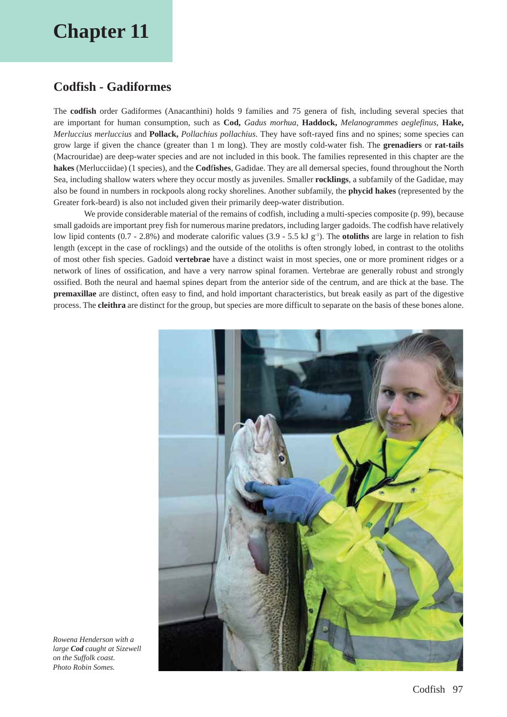## **Chapter 11**

### **Codfish - Gadiformes**

The **codfish** order Gadiformes (Anacanthini) holds 9 families and 75 genera of fish, including several species that are important for human consumption, such as **Cod,** *Gadus morhua*, **Haddock,** *Melanogrammes aeglefinus*, **Hake,** *Merluccius merluccius* and **Pollack,** *Pollachius pollachius*. They have soft-rayed fins and no spines; some species can grow large if given the chance (greater than 1 m long). They are mostly cold-water fish. The **grenadiers** or **rat-tails** (Macrouridae) are deep-water species and are not included in this book. The families represented in this chapter are the **hakes** (Merlucciidae) (1 species), and the **Cod**f**ishes**, Gadidae. They are all demersal species, found throughout the North Sea, including shallow waters where they occur mostly as juveniles. Smaller **rocklings**, a subfamily of the Gadidae, may also be found in numbers in rockpools along rocky shorelines. Another subfamily, the **phycid hakes** (represented by the Greater fork-beard) is also not included given their primarily deep-water distribution.

We provide considerable material of the remains of codfish, including a multi-species composite (p. 99), because small gadoids are important prey fish for numerous marine predators, including larger gadoids. The codfish have relatively low lipid contents (0.7 - 2.8%) and moderate calorific values (3.9 - 5.5 kJ g<sup>-1</sup>). The **otoliths** are large in relation to fish length (except in the case of rocklings) and the outside of the otoliths is often strongly lobed, in contrast to the otoliths of most other fish species. Gadoid **vertebrae** have a distinct waist in most species, one or more prominent ridges or a network of lines of ossification, and have a very narrow spinal foramen. Vertebrae are generally robust and strongly ossified. Both the neural and haemal spines depart from the anterior side of the centrum, and are thick at the base. The **premaxillae** are distinct, often easy to find, and hold important characteristics, but break easily as part of the digestive process. The **cleithra** are distinct for the group, but species are more difficult to separate on the basis of these bones alone.



*Rowena Henderson with a large Cod caught at Sizewell on the Suffolk coast. Photo Robin Somes.*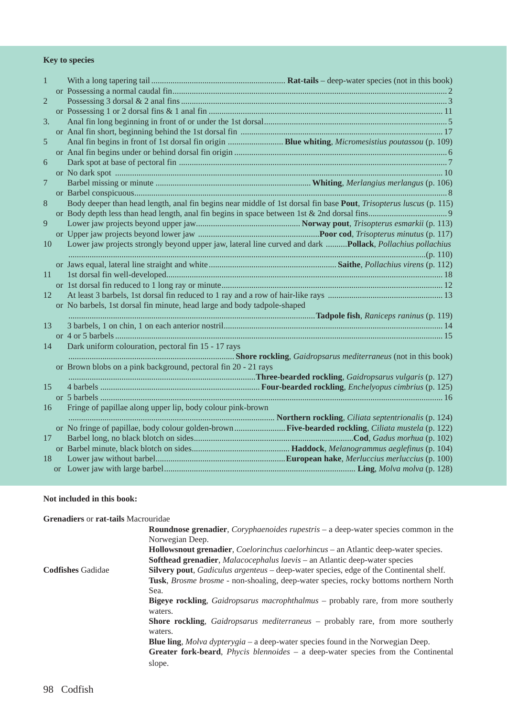#### **Key to species**

| 1              |                                                                                                                    |
|----------------|--------------------------------------------------------------------------------------------------------------------|
|                |                                                                                                                    |
| $\overline{2}$ |                                                                                                                    |
|                |                                                                                                                    |
| 3.             |                                                                                                                    |
|                |                                                                                                                    |
| 5              |                                                                                                                    |
|                |                                                                                                                    |
| 6              |                                                                                                                    |
|                |                                                                                                                    |
| 7              |                                                                                                                    |
|                |                                                                                                                    |
| 8              | Body deeper than head length, anal fin begins near middle of 1st dorsal fin base Pout, Trisopterus luscus (p. 115) |
|                |                                                                                                                    |
| 9              |                                                                                                                    |
|                |                                                                                                                    |
| 10             | Lower jaw projects strongly beyond upper jaw, lateral line curved and dark  Pollack, Pollachius pollachius         |
|                |                                                                                                                    |
|                |                                                                                                                    |
| 11             |                                                                                                                    |
|                |                                                                                                                    |
| 12             |                                                                                                                    |
|                | or No barbels, 1st dorsal fin minute, head large and body tadpole-shaped                                           |
|                |                                                                                                                    |
| 13             |                                                                                                                    |
|                |                                                                                                                    |
| 14             | Dark uniform colouration, pectoral fin 15 - 17 rays                                                                |
|                | Shore rockling, Gaidropsarus mediterraneus (not in this book)                                                      |
|                | or Brown blobs on a pink background, pectoral fin 20 - 21 rays                                                     |
|                | Three-bearded rockling, Gaidropsarus vulgaris (p. 127). Three-bearded rockling, Gaidropsarus vulgaris (p. 127)     |
| 15             |                                                                                                                    |
|                |                                                                                                                    |
| 16             | Fringe of papillae along upper lip, body colour pink-brown                                                         |
|                | manufacturer rockling, Ciliata septentrionalis (p. 124)                                                            |
|                | or No fringe of papillae, body colour golden-brown Five-bearded rockling, Ciliata mustela (p. 122)                 |
| 17             |                                                                                                                    |
|                |                                                                                                                    |
| 18             |                                                                                                                    |
|                |                                                                                                                    |

#### **Not included in this book:**

| <b>Grenadiers or rat-tails Macrouridae</b> |                                                                                                           |
|--------------------------------------------|-----------------------------------------------------------------------------------------------------------|
|                                            | <b>Roundnose grenadier,</b> <i>Coryphaenoides rupestris</i> – a deep-water species common in the          |
|                                            | Norwegian Deep.                                                                                           |
|                                            | <b>Hollowsnout grenadier,</b> <i>Coelorinchus caelorhincus</i> – an Atlantic deep-water species.          |
|                                            | <b>Softhead grenadier,</b> Malacocephalus laevis – an Atlantic deep-water species                         |
| <b>Codfishes Gadidae</b>                   | <b>Silvery pout</b> , <i>Gadiculus argenteus</i> – deep-water species, edge of the Continental shelf.     |
|                                            | Tusk, <i>Brosme brosme</i> - non-shoaling, deep-water species, rocky bottoms northern North               |
|                                            | Sea.                                                                                                      |
|                                            | <b>Bigeye rockling</b> , <i>Gaidropsarus macrophthalmus</i> – probably rare, from more southerly          |
|                                            | waters.                                                                                                   |
|                                            | <b>Shore rockling</b> , <i>Gaidropsarus mediterraneus</i> – probably rare, from more southerly<br>waters. |
|                                            | <b>Blue ling,</b> Molva dypterygia – a deep-water species found in the Norwegian Deep.                    |
|                                            | Greater fork-beard, <i>Phycis blennoides</i> $-$ a deep-water species from the Continental                |
|                                            | slope.                                                                                                    |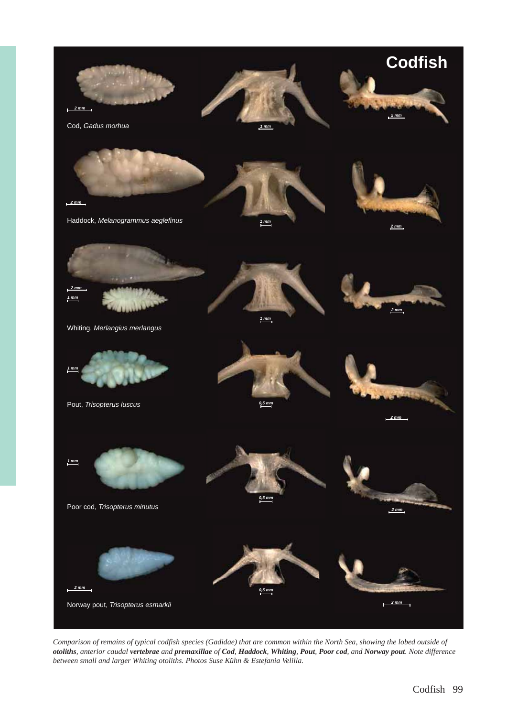

*Comparison of remains of typical codfish species (Gadidae) that are common within the North Sea, showing the lobed outside of*  otoliths, anterior caudal vertebrae and premaxillae of Cod, Haddock, Whiting, Pout, Poor cod, and Norway pout. Note difference *between small and larger Whiting otoliths. Photos Suse Kühn & Estefania Velilla.*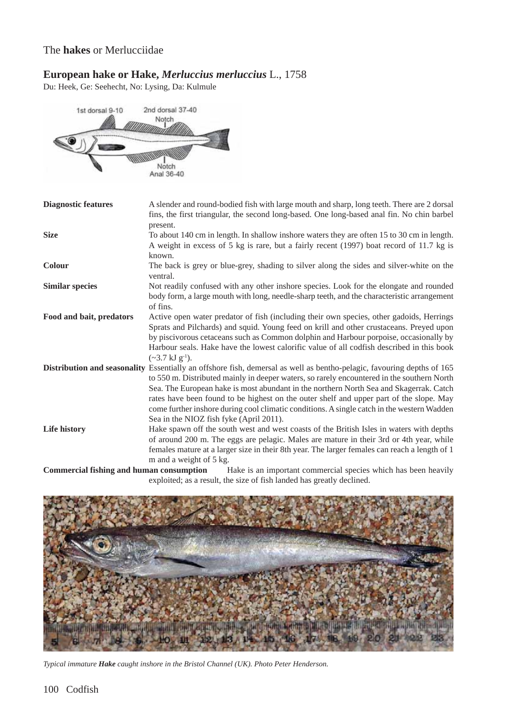#### The **hakes** or Merlucciidae

#### **European hake or Hake,** *Merluccius merluccius* L., 1758

Du: Heek, Ge: Seehecht, No: Lysing, Da: Kulmule



| <b>Diagnostic features</b> | A slender and round-bodied fish with large mouth and sharp, long teeth. There are 2 dorsal<br>fins, the first triangular, the second long-based. One long-based anal fin. No chin barbel                                                                                                                                                                                                                                                                                                                |
|----------------------------|---------------------------------------------------------------------------------------------------------------------------------------------------------------------------------------------------------------------------------------------------------------------------------------------------------------------------------------------------------------------------------------------------------------------------------------------------------------------------------------------------------|
|                            | present.                                                                                                                                                                                                                                                                                                                                                                                                                                                                                                |
| <b>Size</b>                | To about 140 cm in length. In shallow inshore waters they are often 15 to 30 cm in length.<br>A weight in excess of 5 kg is rare, but a fairly recent (1997) boat record of 11.7 kg is                                                                                                                                                                                                                                                                                                                  |
|                            | known.                                                                                                                                                                                                                                                                                                                                                                                                                                                                                                  |
| Colour                     | The back is grey or blue-grey, shading to silver along the sides and silver-white on the<br>ventral.                                                                                                                                                                                                                                                                                                                                                                                                    |
| <b>Similar species</b>     | Not readily confused with any other inshore species. Look for the elongate and rounded<br>body form, a large mouth with long, needle-sharp teeth, and the characteristic arrangement<br>of fins.                                                                                                                                                                                                                                                                                                        |
| Food and bait, predators   | Active open water predator of fish (including their own species, other gadoids, Herrings<br>Sprats and Pilchards) and squid. Young feed on krill and other crustaceans. Preyed upon<br>by piscivorous cetaceans such as Common dolphin and Harbour porpoise, occasionally by                                                                                                                                                                                                                            |
|                            | Harbour seals. Hake have the lowest calorific value of all codfish described in this book<br>$({\sim}3.7 \text{ kJ g}^{-1}).$                                                                                                                                                                                                                                                                                                                                                                           |
|                            | Distribution and seasonality Essentially an offshore fish, demersal as well as bentho-pelagic, favouring depths of 165<br>to 550 m. Distributed mainly in deeper waters, so rarely encountered in the southern North<br>Sea. The European hake is most abundant in the northern North Sea and Skagerrak. Catch<br>rates have been found to be highest on the outer shelf and upper part of the slope. May<br>come further inshore during cool climatic conditions. A single catch in the western Wadden |
|                            | Sea in the NIOZ fish fyke (April 2011).                                                                                                                                                                                                                                                                                                                                                                                                                                                                 |
| Life history               | Hake spawn off the south west and west coasts of the British Isles in waters with depths<br>of around 200 m. The eggs are pelagic. Males are mature in their 3rd or 4th year, while<br>females mature at a larger size in their 8th year. The larger females can reach a length of 1<br>m and a weight of 5 kg.                                                                                                                                                                                         |
| $\cdots$                   |                                                                                                                                                                                                                                                                                                                                                                                                                                                                                                         |

**Commercial fishing and human consumption** Hake is an important commercial species which has been heavily exploited; as a result, the size of fish landed has greatly declined.



*Typical immature Hake caught inshore in the Bristol Channel (UK). Photo Peter Henderson.*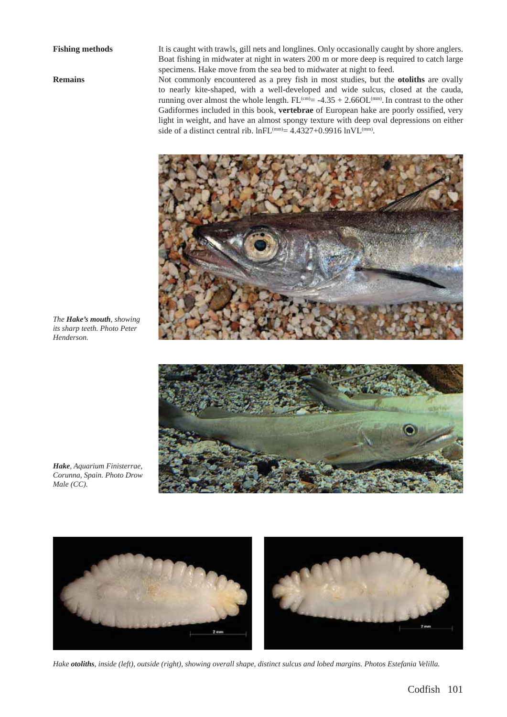**Fishing methods** It is caught with trawls, gill nets and longlines. Only occasionally caught by shore anglers. Boat fishing in midwater at night in waters 200 m or more deep is required to catch large specimens. Hake move from the sea bed to midwater at night to feed.

**Remains** Not commonly encountered as a prey fish in most studies, but the **otoliths** are ovally to nearly kite-shaped, with a well-developed and wide sulcus, closed at the cauda, running over almost the whole length.  $FL^{(cm)} = -4.35 + 2.66OL^{(mm)}$ . In contrast to the other Gadiformes included in this book, **vertebrae** of European hake are poorly ossified, very light in weight, and have an almost spongy texture with deep oval depressions on either side of a distinct central rib.  $lnFL^{(mm)} = 4.4327 + 0.9916 ln VL^{(mm)}$ .



*The Hake's mouth, showing its sharp teeth. Photo Peter Henderson.*



*Hake, Aquarium Finisterrae, Corunna, Spain. Photo Drow Male (CC).*



*Hake otoliths, inside (left), outside (right), showing overall shape, distinct sulcus and lobed margins. Photos Estefania Velilla.*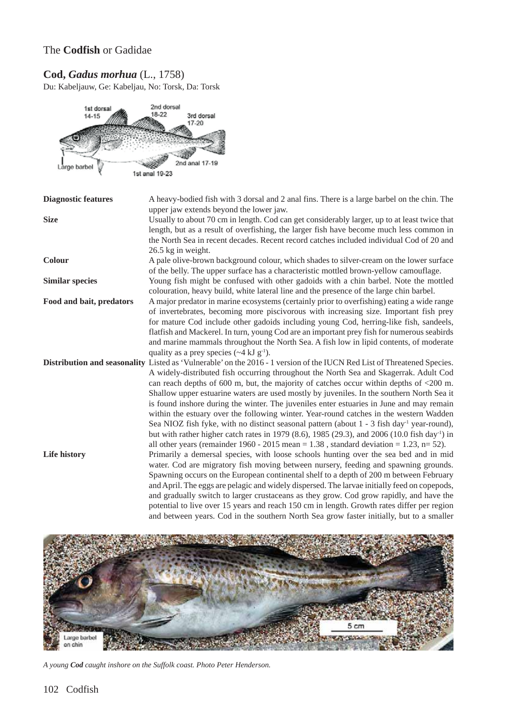#### The **Codfish** or Gadidae

#### **Cod,** *Gadus morhua* (L., 1758)

Du: Kabeljauw, Ge: Kabeljau, No: Torsk, Da: Torsk



| <b>Diagnostic features</b> | A heavy-bodied fish with 3 dorsal and 2 anal fins. There is a large barbel on the chin. The                                                                                                                                                                                                                                                                                                                                                                                                                                                                                                                                                                                                                                                                                                                                                     |
|----------------------------|-------------------------------------------------------------------------------------------------------------------------------------------------------------------------------------------------------------------------------------------------------------------------------------------------------------------------------------------------------------------------------------------------------------------------------------------------------------------------------------------------------------------------------------------------------------------------------------------------------------------------------------------------------------------------------------------------------------------------------------------------------------------------------------------------------------------------------------------------|
| <b>Size</b>                | upper jaw extends beyond the lower jaw.<br>Usually to about 70 cm in length. Cod can get considerably larger, up to at least twice that<br>length, but as a result of overfishing, the larger fish have become much less common in<br>the North Sea in recent decades. Recent record catches included individual Cod of 20 and<br>26.5 kg in weight.                                                                                                                                                                                                                                                                                                                                                                                                                                                                                            |
| <b>Colour</b>              | A pale olive-brown background colour, which shades to silver-cream on the lower surface<br>of the belly. The upper surface has a characteristic mottled brown-yellow camouflage.                                                                                                                                                                                                                                                                                                                                                                                                                                                                                                                                                                                                                                                                |
| <b>Similar species</b>     | Young fish might be confused with other gadoids with a chin barbel. Note the mottled<br>colouration, heavy build, white lateral line and the presence of the large chin barbel.                                                                                                                                                                                                                                                                                                                                                                                                                                                                                                                                                                                                                                                                 |
| Food and bait, predators   | A major predator in marine ecosystems (certainly prior to overfishing) eating a wide range<br>of invertebrates, becoming more piscivorous with increasing size. Important fish prey<br>for mature Cod include other gadoids including young Cod, herring-like fish, sandeels,<br>flatfish and Mackerel. In turn, young Cod are an important prey fish for numerous seabirds<br>and marine mammals throughout the North Sea. A fish low in lipid contents, of moderate<br>quality as a prey species $({\sim}4 \text{ kJ g}^{-1})$ .                                                                                                                                                                                                                                                                                                              |
|                            | Distribution and seasonality Listed as 'Vulnerable' on the 2016 - 1 version of the IUCN Red List of Threatened Species.<br>A widely-distributed fish occurring throughout the North Sea and Skagerrak. Adult Cod<br>can reach depths of 600 m, but, the majority of catches occur within depths of $\langle 200 \text{ m.} \rangle$<br>Shallow upper estuarine waters are used mostly by juveniles. In the southern North Sea it<br>is found inshore during the winter. The juveniles enter estuaries in June and may remain<br>within the estuary over the following winter. Year-round catches in the western Wadden<br>Sea NIOZ fish fyke, with no distinct seasonal pattern (about $1 - 3$ fish day <sup>-1</sup> year-round),<br>but with rather higher catch rates in 1979 (8.6), 1985 (29.3), and 2006 (10.0 fish day <sup>-1</sup> ) in |
| Life history               | all other years (remainder $1960 - 2015$ mean = 1.38, standard deviation = 1.23, n= 52).<br>Primarily a demersal species, with loose schools hunting over the sea bed and in mid<br>water. Cod are migratory fish moving between nursery, feeding and spawning grounds.<br>Spawning occurs on the European continental shelf to a depth of 200 m between February<br>and April. The eggs are pelagic and widely dispersed. The larvae initially feed on copepods,<br>and gradually switch to larger crustaceans as they grow. Cod grow rapidly, and have the<br>potential to live over 15 years and reach 150 cm in length. Growth rates differ per region<br>and between years. Cod in the southern North Sea grow faster initially, but to a smaller                                                                                          |



*A young Cod caught inshore on the Suffolk coast. Photo Peter Henderson.*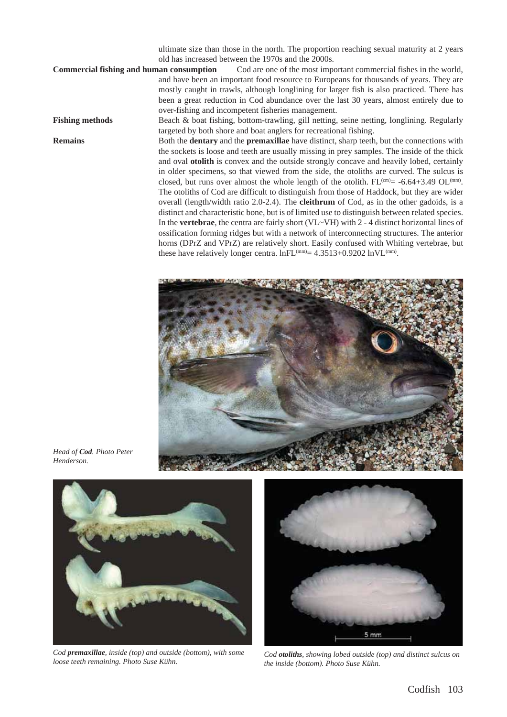ultimate size than those in the north. The proportion reaching sexual maturity at 2 years old has increased between the 1970s and the 2000s.

**Commercial fishing and human consumption** Cod are one of the most important commercial fishes in the world, and have been an important food resource to Europeans for thousands of years. They are mostly caught in trawls, although longlining for larger fish is also practiced. There has been a great reduction in Cod abundance over the last 30 years, almost entirely due to over-fishing and incompetent fisheries management.

**Fishing methods** Beach & boat fishing, bottom-trawling, gill netting, seine netting, longlining. Regularly targeted by both shore and boat anglers for recreational fishing.

**Remains** Both the **dentary** and the **premaxillae** have distinct, sharp teeth, but the connections with the sockets is loose and teeth are usually missing in prey samples. The inside of the thick and oval **otolith** is convex and the outside strongly concave and heavily lobed, certainly in older specimens, so that viewed from the side, the otoliths are curved. The sulcus is closed, but runs over almost the whole length of the otolith.  $FL^{(cm)} = -6.64 + 3.49$  OL<sup>(mm)</sup>. The otoliths of Cod are difficult to distinguish from those of Haddock, but they are wider overall (length/width ratio 2.0-2.4). The **cleithrum** of Cod, as in the other gadoids, is a distinct and characteristic bone, but is of limited use to distinguish between related species. In the **vertebrae**, the centra are fairly short (VL~VH) with 2 - 4 distinct horizontal lines of ossification forming ridges but with a network of interconnecting structures. The anterior horns (DPrZ and VPrZ) are relatively short. Easily confused with Whiting vertebrae, but these have relatively longer centra.  $lnFL^{(mm)}= 4.3513+0.9202 ln VL^{(mm)}$ .



*Head of Cod. Photo Peter Henderson.*



*Cod premaxillae, inside (top) and outside (bottom), with some loose teeth remaining. Photo Suse Kühn.*



*Cod otoliths, showing lobed outside (top) and distinct sulcus on the inside (bottom). Photo Suse Kühn.*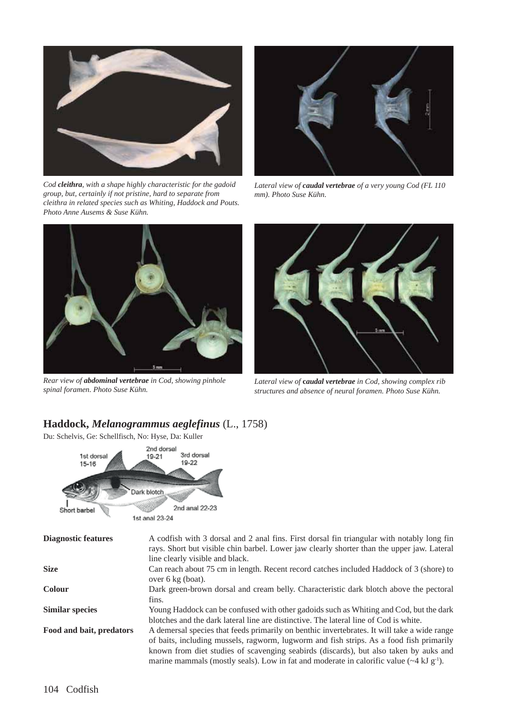

*Cod cleithra, with a shape highly characteristic for the gadoid group, but, certainly if not pristine, hard to separate from cleithra in related species such as Whiting, Haddock and Pouts. Photo Anne Ausems & Suse Kühn.*



*Lateral view of caudal vertebrae of a very young Cod (FL 110 mm). Photo Suse Kühn.*



*Rear view of abdominal vertebrae in Cod, showing pinhole spinal foramen. Photo Suse Kühn.*



*Lateral view of* **c***audal vertebrae in Cod, showing complex rib structures and absence of neural foramen. Photo Suse Kühn.*

#### **Haddock,** *Melanogrammus aeglefinus* (L., 1758)

Du: Schelvis, Ge: Schellfisch, No: Hyse, Da: Kuller



| <b>Diagnostic features</b> | A codfish with 3 dorsal and 2 anal fins. First dorsal fin triangular with notably long fin<br>rays. Short but visible chin barbel. Lower jaw clearly shorter than the upper jaw. Lateral<br>line clearly visible and black.                                                                                                                                                                  |
|----------------------------|----------------------------------------------------------------------------------------------------------------------------------------------------------------------------------------------------------------------------------------------------------------------------------------------------------------------------------------------------------------------------------------------|
| <b>Size</b>                | Can reach about 75 cm in length. Recent record catches included Haddock of 3 (shore) to<br>over $6 \text{ kg}$ (boat).                                                                                                                                                                                                                                                                       |
| <b>Colour</b>              | Dark green-brown dorsal and cream belly. Characteristic dark blotch above the pectoral<br>fins.                                                                                                                                                                                                                                                                                              |
| <b>Similar species</b>     | Young Haddock can be confused with other gadoids such as Whiting and Cod, but the dark<br>blotches and the dark lateral line are distinctive. The lateral line of Cod is white.                                                                                                                                                                                                              |
| Food and bait, predators   | A demersal species that feeds primarily on benthic invertebrates. It will take a wide range<br>of baits, including mussels, ragworm, lugworm and fish strips. As a food fish primarily<br>known from diet studies of scavenging seabirds (discards), but also taken by auks and<br>marine mammals (mostly seals). Low in fat and moderate in calorific value $({\sim}4 \text{ kJ g}^{-1})$ . |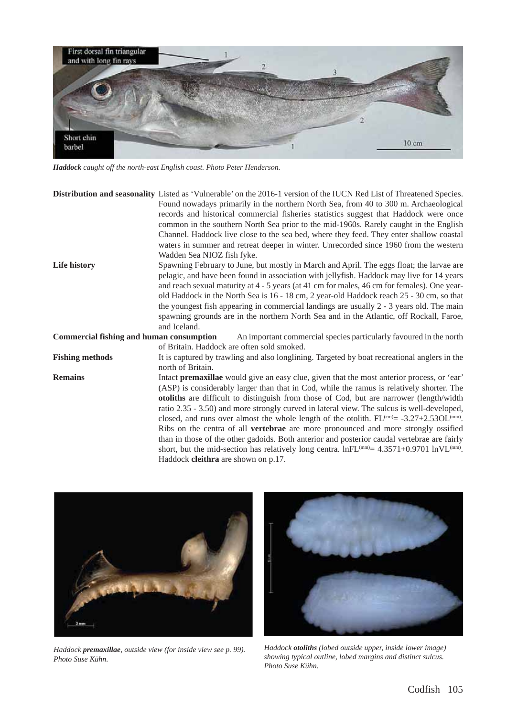

*Haddock caught off the north-east English coast. Photo Peter Henderson.*

|                                                 | Distribution and seasonality Listed as 'Vulnerable' on the 2016-1 version of the IUCN Red List of Threatened Species. |
|-------------------------------------------------|-----------------------------------------------------------------------------------------------------------------------|
|                                                 | Found nowadays primarily in the northern North Sea, from 40 to 300 m. Archaeological                                  |
|                                                 | records and historical commercial fisheries statistics suggest that Haddock were once                                 |
|                                                 | common in the southern North Sea prior to the mid-1960s. Rarely caught in the English                                 |
|                                                 | Channel. Haddock live close to the sea bed, where they feed. They enter shallow coastal                               |
|                                                 | waters in summer and retreat deeper in winter. Unrecorded since 1960 from the western                                 |
|                                                 | Wadden Sea NIOZ fish fyke.                                                                                            |
| Life history                                    | Spawning February to June, but mostly in March and April. The eggs float; the larvae are                              |
|                                                 | pelagic, and have been found in association with jellyfish. Haddock may live for 14 years                             |
|                                                 | and reach sexual maturity at 4 - 5 years (at 41 cm for males, 46 cm for females). One year-                           |
|                                                 | old Haddock in the North Sea is 16 - 18 cm, 2 year-old Haddock reach 25 - 30 cm, so that                              |
|                                                 | the youngest fish appearing in commercial landings are usually 2 - 3 years old. The main                              |
|                                                 | spawning grounds are in the northern North Sea and in the Atlantic, off Rockall, Faroe,                               |
|                                                 | and Iceland.                                                                                                          |
| <b>Commercial fishing and human consumption</b> | An important commercial species particularly favoured in the north                                                    |
|                                                 | of Britain. Haddock are often sold smoked.                                                                            |
| <b>Fishing methods</b>                          | It is captured by trawling and also longlining. Targeted by boat recreational anglers in the                          |
|                                                 | north of Britain.                                                                                                     |
| <b>Remains</b>                                  | Intact premaxillae would give an easy clue, given that the most anterior process, or 'ear'                            |
|                                                 | (ASP) is considerably larger than that in Cod, while the ramus is relatively shorter. The                             |
|                                                 | otoliths are difficult to distinguish from those of Cod, but are narrower (length/width                               |
|                                                 | ratio 2.35 - 3.50) and more strongly curved in lateral view. The sulcus is well-developed,                            |
|                                                 | closed, and runs over almost the whole length of the otolith. $FL^{(cm)} = -3.27 + 2.53OL^{(mm)}$ .                   |
|                                                 | Ribs on the centra of all vertebrae are more pronounced and more strongly ossified                                    |
|                                                 | than in those of the other gadoids. Both anterior and posterior caudal vertebrae are fairly                           |
|                                                 | short, but the mid-section has relatively long centra. $lnFL^{(mm)} = 4.3571+0.9701 \ln V L^{(mm)}$ .                 |
|                                                 | Haddock cleithra are shown on p.17.                                                                                   |



*Haddock premaxillae, outside view (for inside view see p. 99). Photo Suse Kühn.*



*Haddock otoliths (lobed outside upper, inside lower image) showing typical outline, lobed margins and distinct sulcus. Photo Suse Kühn.*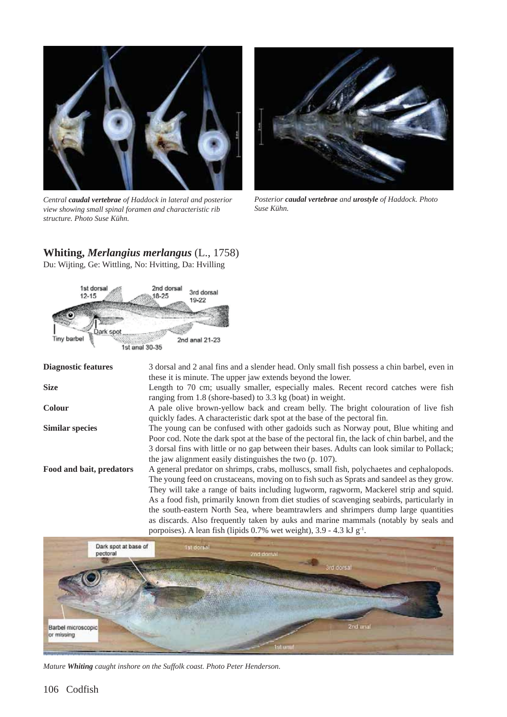

*Central caudal vertebrae of Haddock in lateral and posterior view showing small spinal foramen and characteristic rib structure. Photo Suse Kühn.*



*Posterior caudal vertebrae and urostyle of Haddock. Photo Suse Kühn.*

## **Whiting,** *Merlangius merlangus* (L., 1758)

Du: Wijting, Ge: Wittling, No: Hvitting, Da: Hvilling



| <b>Diagnostic features</b> | 3 dorsal and 2 anal fins and a slender head. Only small fish possess a chin barbel, even in    |
|----------------------------|------------------------------------------------------------------------------------------------|
|                            | these it is minute. The upper jaw extends beyond the lower.                                    |
| <b>Size</b>                | Length to 70 cm; usually smaller, especially males. Recent record catches were fish            |
|                            | ranging from 1.8 (shore-based) to 3.3 kg (boat) in weight.                                     |
| <b>Colour</b>              | A pale olive brown-yellow back and cream belly. The bright colouration of live fish            |
|                            | quickly fades. A characteristic dark spot at the base of the pectoral fin.                     |
| <b>Similar species</b>     | The young can be confused with other gadoids such as Norway pout, Blue whiting and             |
|                            | Poor cod. Note the dark spot at the base of the pectoral fin, the lack of chin barbel, and the |
|                            | 3 dorsal fins with little or no gap between their bases. Adults can look similar to Pollack;   |
|                            | the jaw alignment easily distinguishes the two (p. 107).                                       |
| Food and bait, predators   | A general predator on shrimps, crabs, molluscs, small fish, polychaetes and cephalopods.       |
|                            | The young feed on crustaceans, moving on to fish such as Sprats and sandeel as they grow.      |
|                            | They will take a range of baits including lugworm, ragworm, Mackerel strip and squid.          |
|                            | As a food fish, primarily known from diet studies of scavenging seabirds, particularly in      |
|                            | the south-eastern North Sea, where beamtrawlers and shrimpers dump large quantities            |
|                            | as discards. Also frequently taken by auks and marine mammals (notably by seals and            |
|                            | porpoises). A lean fish (lipids $0.7\%$ wet weight), $3.9 - 4.3$ kJ g <sup>-1</sup> .          |



*Mature Whiting caught inshore on the Suffolk coast. Photo Peter Henderson.*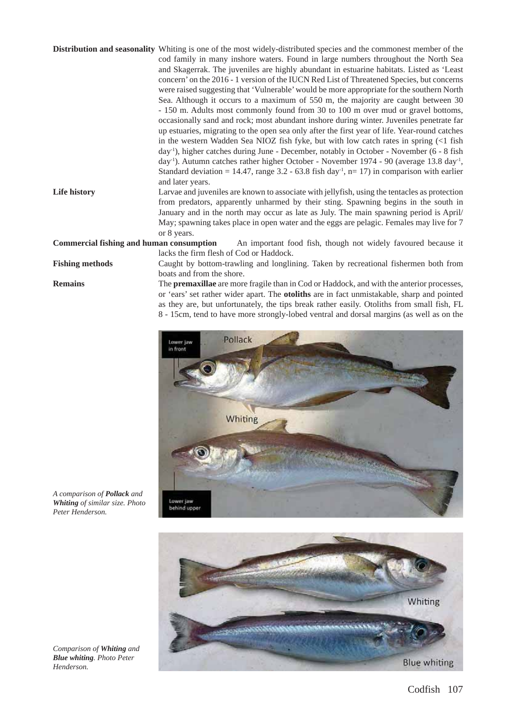|                                                 | <b>Distribution and seasonality</b> Whiting is one of the most widely-distributed species and the commonest member of the |
|-------------------------------------------------|---------------------------------------------------------------------------------------------------------------------------|
|                                                 | cod family in many inshore waters. Found in large numbers throughout the North Sea                                        |
|                                                 | and Skagerrak. The juveniles are highly abundant in estuarine habitats. Listed as 'Least                                  |
|                                                 | concern' on the 2016 - 1 version of the IUCN Red List of Threatened Species, but concerns                                 |
|                                                 | were raised suggesting that 'Vulnerable' would be more appropriate for the southern North                                 |
|                                                 | Sea. Although it occurs to a maximum of 550 m, the majority are caught between 30                                         |
|                                                 | - 150 m. Adults most commonly found from 30 to 100 m over mud or gravel bottoms,                                          |
|                                                 | occasionally sand and rock; most abundant inshore during winter. Juveniles penetrate far                                  |
|                                                 | up estuaries, migrating to the open sea only after the first year of life. Year-round catches                             |
|                                                 | in the western Wadden Sea NIOZ fish fyke, but with low catch rates in spring $\ll 1$ fish                                 |
|                                                 | day <sup>-1</sup> ), higher catches during June - December, notably in October - November (6 - 8 fish                     |
|                                                 | day <sup>-1</sup> ). Autumn catches rather higher October - November 1974 - 90 (average 13.8 day <sup>-1</sup> ,          |
|                                                 | Standard deviation = 14.47, range 3.2 - 63.8 fish day <sup>-1</sup> , n= 17) in comparison with earlier                   |
|                                                 | and later years.                                                                                                          |
| Life history                                    | Larvae and juveniles are known to associate with jellyfish, using the tentacles as protection                             |
|                                                 | from predators, apparently unharmed by their sting. Spawning begins in the south in                                       |
|                                                 | January and in the north may occur as late as July. The main spawning period is April/                                    |
|                                                 | May; spawning takes place in open water and the eggs are pelagic. Females may live for 7                                  |
|                                                 | or 8 years.                                                                                                               |
| <b>Commercial fishing and human consumption</b> | An important food fish, though not widely favoured because it                                                             |
|                                                 | lacks the firm flesh of Cod or Haddock.                                                                                   |
| <b>Fishing methods</b>                          | Caught by bottom-trawling and longlining. Taken by recreational fishermen both from                                       |
|                                                 |                                                                                                                           |

boats and from the shore.

**Remains** The **premaxillae** are more fragile than in Cod or Haddock, and with the anterior processes, or 'ears' set rather wider apart. The **otoliths** are in fact unmistakable, sharp and pointed as they are, but unfortunately, the tips break rather easily. Otoliths from small fish, FL 8 - 15cm, tend to have more strongly-lobed ventral and dorsal margins (as well as on the



*A comparison of Pollack and Whiting of similar size. Photo Peter Henderson.*



*Comparison of Whiting and Blue whiting. Photo Peter Henderson.*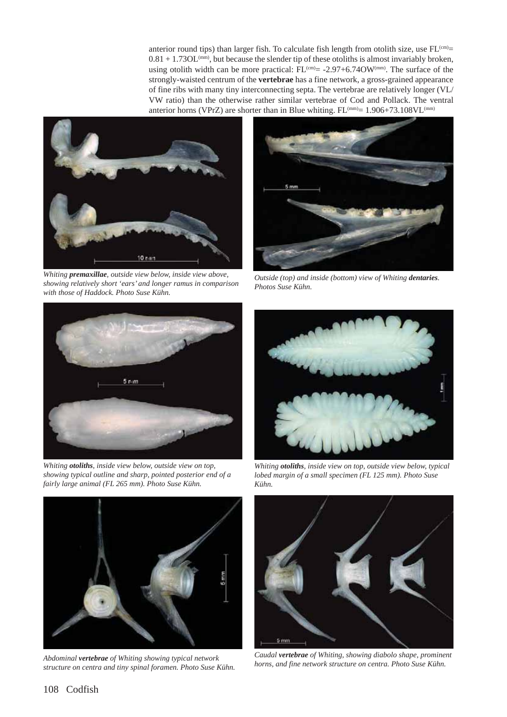anterior round tips) than larger fish. To calculate fish length from otolith size, use  $FL<sup>(cm)</sup>$  $0.81 + 1.73$ OL<sup>(mm)</sup>, but because the slender tip of these otoliths is almost invariably broken, using otolith width can be more practical:  $FL^{(cm)} = -2.97 + 6.74OW^{(mm)}$ . The surface of the strongly-waisted centrum of the **vertebrae** has a fine network, a gross-grained appearance of fine ribs with many tiny interconnecting septa. The vertebrae are relatively longer (VL/ VW ratio) than the otherwise rather similar vertebrae of Cod and Pollack. The ventral anterior horns (VPrZ) are shorter than in Blue whiting.  $FL^{(mm)} = 1.906 + 73.108$ VL $^{(mm)}$ 



*Whiting premaxillae, outside view below, inside view above, showing relatively short 'ears' and longer ramus in comparison with those of Haddock. Photo Suse Kühn.*



*Outside (top) and inside (bottom) view of Whiting dentaries. Photos Suse Kühn.*



*Whiting otoliths, inside view below, outside view on top, showing typical outline and sharp, pointed posterior end of a fairly large animal (FL 265 mm). Photo Suse Kühn.*



*Abdominal vertebrae of Whiting showing typical network structure on centra and tiny spinal foramen. Photo Suse Kühn.*



*Whiting otoliths, inside view on top, outside view below, typical lobed margin of a small specimen (FL 125 mm). Photo Suse Kühn.*



*Caudal vertebrae of Whiting, showing diabolo shape, prominent horns, and fine network structure on centra. Photo Suse Kühn.*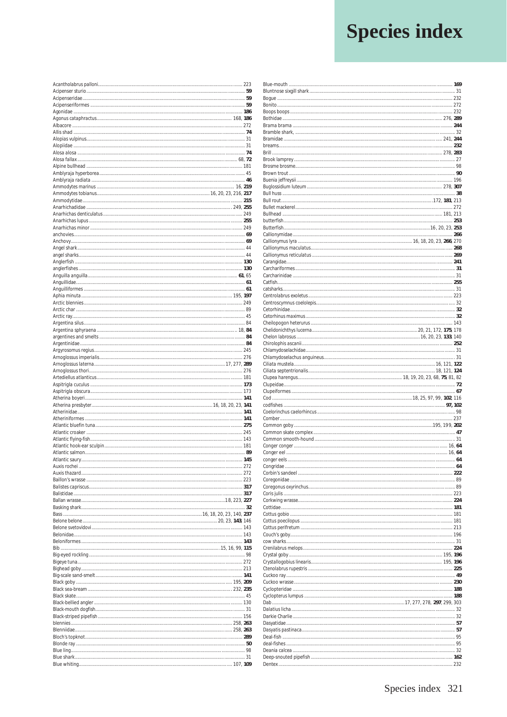## **Species index**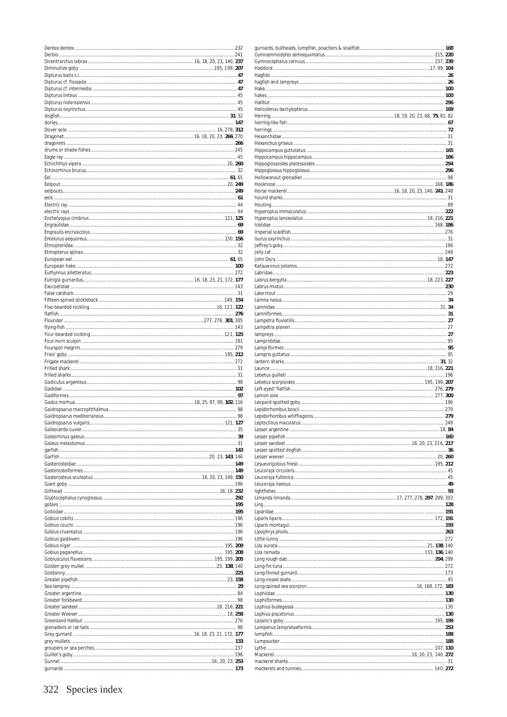| 249 |
|-----|
|     |
|     |
|     |
|     |
|     |
|     |
|     |
|     |
|     |
|     |
|     |
|     |
|     |
|     |
|     |
|     |
|     |
|     |
|     |
|     |
|     |
|     |
|     |
|     |
|     |
|     |
|     |
|     |